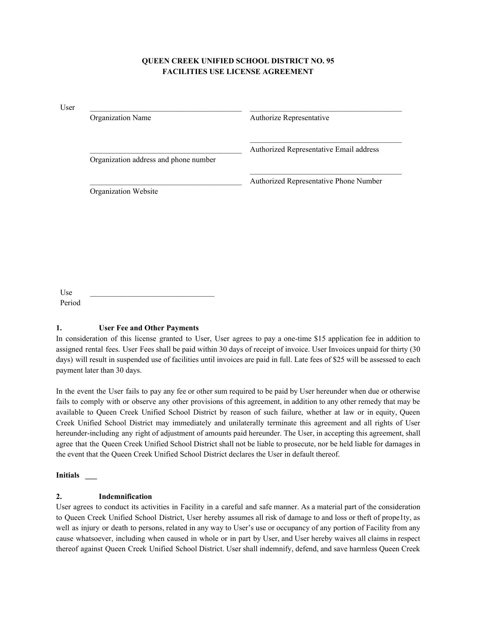## **QUEEN CREEK UNIFIED SCHOOL DISTRICT NO. 95 FACILITIES USE LICENSE AGREEMENT**

| Organization Name                     | Authorize Representative                |
|---------------------------------------|-----------------------------------------|
| Organization address and phone number | Authorized Representative Email address |
|                                       | Authorized Representative Phone Number  |

Use Period  $\mathcal{L}_\text{max}$  , and the set of the set of the set of the set of the set of the set of the set of the set of the set of the set of the set of the set of the set of the set of the set of the set of the set of the set of the

## **1. User Fee and Other Payments**

In consideration of this license granted to User, User agrees to pay a one-time \$15 application fee in addition to assigned rental fees. User Fees shall be paid within 30 days of receipt of invoice. User Invoices unpaid for thirty (30 days) will result in suspended use of facilities until invoices are paid in full. Late fees of \$25 will be assessed to each payment later than 30 days.

In the event the User fails to pay any fee or other sum required to be paid by User hereunder when due or otherwise fails to comply with or observe any other provisions of this agreement, in addition to any other remedy that may be available to Queen Creek Unified School District by reason of such failure, whether at law or in equity, Queen Creek Unified School District may immediately and unilaterally terminate this agreement and all rights of User hereunder-including any right of adjustment of amounts paid hereunder. The User, in accepting this agreement, shall agree that the Queen Creek Unified School District shall not be liable to prosecute, nor be held liable for damages in the event that the Queen Creek Unified School District declares the User in default thereof.

## **Initials \_\_\_**

## **2. Indemnification**

User agrees to conduct its activities in Facility in a careful and safe manner. As a material part of the consideration to Queen Creek Unified School District, User hereby assumes all risk of damage to and loss or theft of prope1ty, as well as injury or death to persons, related in any way to User's use or occupancy of any portion of Facility from any cause whatsoever, including when caused in whole or in part by User, and User hereby waives all claims in respect thereof against Queen Creek Unified School District. User shall indemnify, defend, and save harmless Queen Creek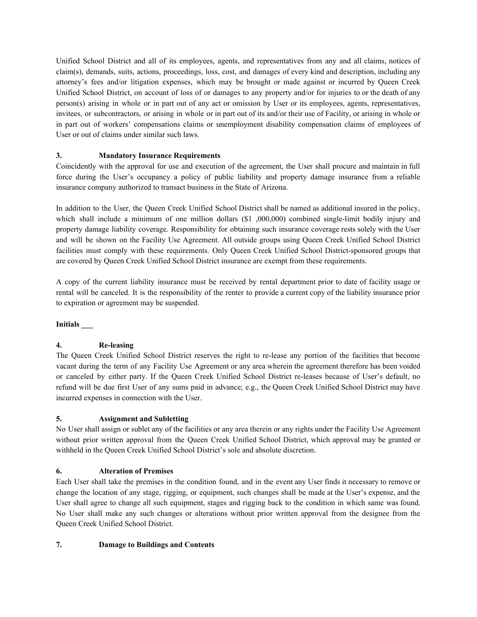Unified School District and all of its employees, agents, and representatives from any and all claims, notices of claim(s), demands, suits, actions, proceedings, loss, cost, and damages of every kind and description, including any attorney's fees and/or litigation expenses, which may be brought or made against or incurred by Queen Creek Unified School District, on account of loss of or damages to any property and/or for injuries to or the death of any person(s) arising in whole or in part out of any act or omission by User or its employees, agents, representatives, invitees, or subcontractors, or arising in whole or in part out of its and/or their use of Facility, or arising in whole or in part out of workers' compensations claims or unemployment disability compensation claims of employees of User or out of claims under similar such laws.

## **3. Mandatory Insurance Requirements**

Coincidently with the approval for use and execution of the agreement, the User shall procure and maintain in full force during the User's occupancy a policy of public liability and property damage insurance from a reliable insurance company authorized to transact business in the State of Arizona.

In addition to the User, the Queen Creek Unified School District shall be named as additional insured in the policy, which shall include a minimum of one million dollars (\$1 ,000,000) combined single-limit bodily injury and property damage liability coverage. Responsibility for obtaining such insurance coverage rests solely with the User and will be shown on the Facility Use Agreement. All outside groups using Queen Creek Unified School District facilities must comply with these requirements. Only Queen Creek Unified School District-sponsored groups that are covered by Queen Creek Unified School District insurance are exempt from these requirements.

A copy of the current liability insurance must be received by rental department prior to date of facility usage or rental will be canceled. It is the responsibility of the renter to provide a current copy of the liability insurance prior to expiration or agreement may be suspended.

## **Initials \_\_\_**

# **4. Re-leasing**

The Queen Creek Unified School District reserves the right to re-lease any portion of the facilities that become vacant during the term of any Facility Use Agreement or any area wherein the agreement therefore has been voided or canceled by either party. If the Queen Creek Unified School District re-leases because of User's default, no refund will be due first User of any sums paid in advance; e.g., the Queen Creek Unified School District may have incurred expenses in connection with the User.

## **5. Assignment and Subletting**

No User shall assign or sublet any of the facilities or any area therein or any rights under the Facility Use Agreement without prior written approval from the Queen Creek Unified School District, which approval may be granted or withheld in the Queen Creek Unified School District's sole and absolute discretion.

## **6. Alteration of Premises**

Each User shall take the premises in the condition found, and in the event any User finds it necessary to remove or change the location of any stage, rigging, or equipment, such changes shall be made at the User's expense, and the User shall agree to change all such equipment, stages and rigging back to the condition in which same was found. No User shall make any such changes or alterations without prior written approval from the designee from the Queen Creek Unified School District.

## **7. Damage to Buildings and Contents**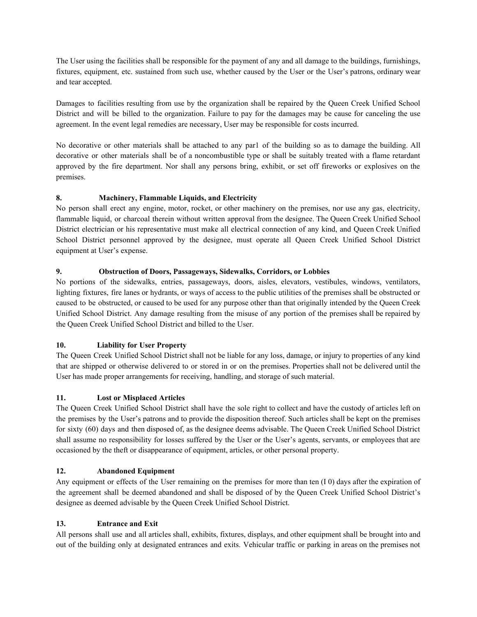The User using the facilities shall be responsible for the payment of any and all damage to the buildings, furnishings, fixtures, equipment, etc. sustained from such use, whether caused by the User or the User's patrons, ordinary wear and tear accepted.

Damages to facilities resulting from use by the organization shall be repaired by the Queen Creek Unified School District and will be billed to the organization. Failure to pay for the damages may be cause for canceling the use agreement. In the event legal remedies are necessary, User may be responsible for costs incurred.

No decorative or other materials shall be attached to any par1 of the building so as to damage the building. All decorative or other materials shall be of a noncombustible type or shall be suitably treated with a flame retardant approved by the fire department. Nor shall any persons bring, exhibit, or set off fireworks or explosives on the premises.

# **8. Machinery, Flammable Liquids, and Electricity**

No person shall erect any engine, motor, rocket, or other machinery on the premises, nor use any gas, electricity, flammable liquid, or charcoal therein without written approval from the designee. The Queen Creek Unified School District electrician or his representative must make all electrical connection of any kind, and Queen Creek Unified School District personnel approved by the designee, must operate all Queen Creek Unified School District equipment at User's expense.

# **9. Obstruction of Doors, Passageways, Sidewalks, Corridors, or Lobbies**

No portions of the sidewalks, entries, passageways, doors, aisles, elevators, vestibules, windows, ventilators, lighting fixtures, fire lanes or hydrants, or ways of access to the public utilities of the premises shall be obstructed or caused to be obstructed, or caused to be used for any purpose other than that originally intended by the Queen Creek Unified School District. Any damage resulting from the misuse of any portion of the premises shall be repaired by the Queen Creek Unified School District and billed to the User.

# **10. Liability for User Property**

The Queen Creek Unified School District shall not be liable for any loss, damage, or injury to properties of any kind that are shipped or otherwise delivered to or stored in or on the premises. Properties shall not be delivered until the User has made proper arrangements for receiving, handling, and storage of such material.

## **11. Lost or Misplaced Articles**

The Queen Creek Unified School District shall have the sole right to collect and have the custody of articles left on the premises by the User's patrons and to provide the disposition thereof. Such articles shall be kept on the premises for sixty (60) days and then disposed of, as the designee deems advisable. The Queen Creek Unified School District shall assume no responsibility for losses suffered by the User or the User's agents, servants, or employees that are occasioned by the theft or disappearance of equipment, articles, or other personal property.

## **12. Abandoned Equipment**

Any equipment or effects of the User remaining on the premises for more than ten (I 0) days after the expiration of the agreement shall be deemed abandoned and shall be disposed of by the Queen Creek Unified School District's designee as deemed advisable by the Queen Creek Unified School District.

## **13. Entrance and Exit**

All persons shall use and all articles shall, exhibits, fixtures, displays, and other equipment shall be brought into and out of the building only at designated entrances and exits. Vehicular traffic or parking in areas on the premises not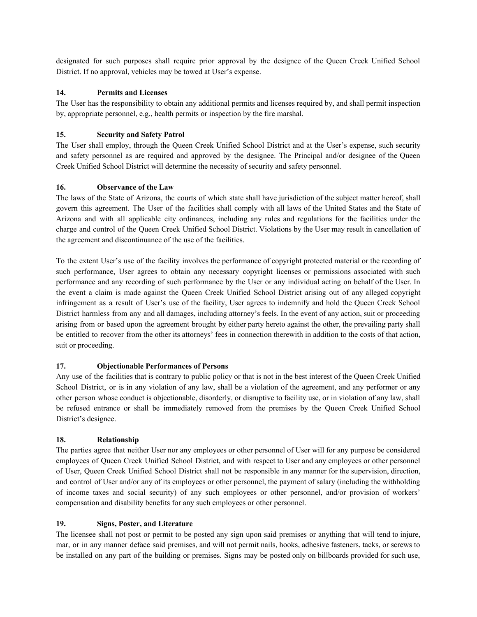designated for such purposes shall require prior approval by the designee of the Queen Creek Unified School District. If no approval, vehicles may be towed at User's expense.

#### **14. Permits and Licenses**

The User has the responsibility to obtain any additional permits and licenses required by, and shall permit inspection by, appropriate personnel, e.g., health permits or inspection by the fire marshal.

## **15. Security and Safety Patrol**

The User shall employ, through the Queen Creek Unified School District and at the User's expense, such security and safety personnel as are required and approved by the designee. The Principal and/or designee of the Queen Creek Unified School District will determine the necessity of security and safety personnel.

## **16. Observance of the Law**

The laws of the State of Arizona, the courts of which state shall have jurisdiction of the subject matter hereof, shall govern this agreement. The User of the facilities shall comply with all laws of the United States and the State of Arizona and with all applicable city ordinances, including any rules and regulations for the facilities under the charge and control of the Queen Creek Unified School District. Violations by the User may result in cancellation of the agreement and discontinuance of the use of the facilities.

To the extent User's use of the facility involves the performance of copyright protected material or the recording of such performance, User agrees to obtain any necessary copyright licenses or permissions associated with such performance and any recording of such performance by the User or any individual acting on behalf of the User. In the event a claim is made against the Queen Creek Unified School District arising out of any alleged copyright infringement as a result of User's use of the facility, User agrees to indemnify and hold the Queen Creek School District harmless from any and all damages, including attorney's feels. In the event of any action, suit or proceeding arising from or based upon the agreement brought by either party hereto against the other, the prevailing party shall be entitled to recover from the other its attorneys' fees in connection therewith in addition to the costs of that action, suit or proceeding.

## **17. Objectionable Performances of Persons**

Any use of the facilities that is contrary to public policy or that is not in the best interest of the Queen Creek Unified School District, or is in any violation of any law, shall be a violation of the agreement, and any performer or any other person whose conduct is objectionable, disorderly, or disruptive to facility use, or in violation of any law, shall be refused entrance or shall be immediately removed from the premises by the Queen Creek Unified School District's designee.

## **18. Relationship**

The parties agree that neither User nor any employees or other personnel of User will for any purpose be considered employees of Queen Creek Unified School District, and with respect to User and any employees or other personnel of User, Queen Creek Unified School District shall not be responsible in any manner for the supervision, direction, and control of User and/or any of its employees or other personnel, the payment of salary (including the withholding of income taxes and social security) of any such employees or other personnel, and/or provision of workers' compensation and disability benefits for any such employees or other personnel.

## **19. Signs, Poster, and Literature**

The licensee shall not post or permit to be posted any sign upon said premises or anything that will tend to injure, mar, or in any manner deface said premises, and will not permit nails, hooks, adhesive fasteners, tacks, or screws to be installed on any part of the building or premises. Signs may be posted only on billboards provided for such use,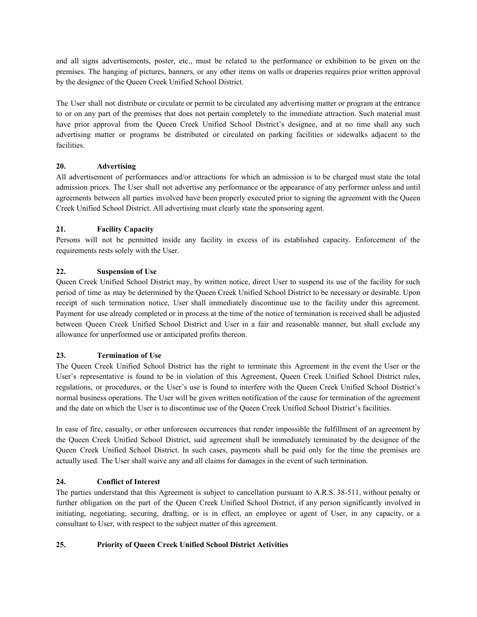and all signs advertisements, poster, etc., must be related to the performance or exhibition to be given on the premises. The hanging of pictures, banners, or any other items on walls or draperies requires prior written approval by the designee of the Queen Creek Unified School District.

The User shall not distribute or circulate or permit to be circulated any advertising matter or program at the entrance to or on any part of the premises that does not pertain completely to the immediate attraction. Such material must have prior approval from the Queen Creek Unified School District's designee, and at no time shall any such advertising matter or programs be distributed or circulated on parking facilities or sidewalks adjacent to the facilities.

# **20. Advertising**

All advertisement of performances and/or attractions for which an admission is to be charged must state the total admission prices. The User shall not advertise any performance or the appearance of any performer unless and until agreements between all parties involved have been properly executed prior to signing the agreement with the Queen Creek Unified School District. All advertising must clearly state the sponsoring agent.

# **21. Facility Capacity**

Persons will not be permitted inside any facility in excess of its established capacity. Enforcement of the requirements rests solely with the User.

# **22. Suspension of Use**

Queen Creek Unified School District may, by written notice, direct User to suspend its use of the facility for such period of time as may be determined by the Queen Creek Unified School District to be necessary or desirable. Upon receipt of such termination notice, User shall immediately discontinue use to the facility under this agreement. Payment for use already completed or in process at the time of the notice of termination is received shall be adjusted between Queen Creek Unified School District and User in a fair and reasonable manner, but shall exclude any allowance for unperformed use or anticipated profits thereon.

# **23. Termination of Use**

The Queen Creek Unified School District has the right to terminate this Agreement in the event the User or the User's representative is found to be in violation of this Agreement, Queen Creek Unified School District rules, regulations, or procedures, or the User's use is found to interfere with the Queen Creek Unified School District's normal business operations. The User will be given written notification of the cause for termination of the agreement and the date on which the User is to discontinue use of the Queen Creek Unified School District's facilities.

In case of fire, casualty, or other unforeseen occurrences that render impossible the fulfillment of an agreement by the Queen Creek Unified School District, said agreement shall be immediately terminated by the designee of the Queen Creek Unified School District. In such cases, payments shall be paid only for the time the premises are actually used. The User shall waive any and all claims for damages in the event of such termination.

# **24. Conflict of Interest**

The parties understand that this Agreement is subject to cancellation pursuant to A.R.S. 38-511, without penalty or further obligation on the part of the Queen Creek Unified School District, if any person significantly involved in initiating, negotiating, securing, drafting, or is in effect, an employee or agent of User, in any capacity, or a consultant to User, with respect to the subject matter of this agreement.

## **25. Priority of Queen Creek Unified School District Activities**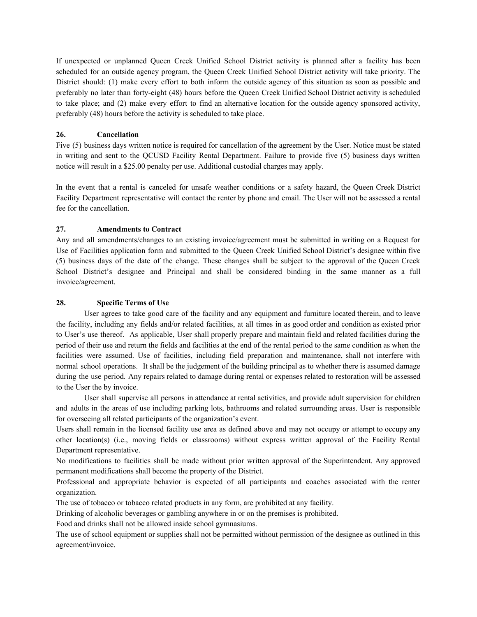If unexpected or unplanned Queen Creek Unified School District activity is planned after a facility has been scheduled for an outside agency program, the Queen Creek Unified School District activity will take priority. The District should: (1) make every effort to both inform the outside agency of this situation as soon as possible and preferably no later than forty-eight (48) hours before the Queen Creek Unified School District activity is scheduled to take place; and (2) make every effort to find an alternative location for the outside agency sponsored activity, preferably (48) hours before the activity is scheduled to take place.

#### **26. Cancellation**

Five (5) business days written notice is required for cancellation of the agreement by the User. Notice must be stated in writing and sent to the QCUSD Facility Rental Department. Failure to provide five (5) business days written notice will result in a \$25.00 penalty per use. Additional custodial charges may apply.

In the event that a rental is canceled for unsafe weather conditions or a safety hazard, the Queen Creek District Facility Department representative will contact the renter by phone and email. The User will not be assessed a rental fee for the cancellation.

#### **27. Amendments to Contract**

Any and all amendments/changes to an existing invoice/agreement must be submitted in writing on a Request for Use of Facilities application form and submitted to the Queen Creek Unified School District's designee within five (5) business days of the date of the change. These changes shall be subject to the approval of the Queen Creek School District's designee and Principal and shall be considered binding in the same manner as a full invoice/agreement.

#### **28. Specific Terms of Use**

User agrees to take good care of the facility and any equipment and furniture located therein, and to leave the facility, including any fields and/or related facilities, at all times in as good order and condition as existed prior to User's use thereof. As applicable, User shall properly prepare and maintain field and related facilities during the period of their use and return the fields and facilities at the end of the rental period to the same condition as when the facilities were assumed. Use of facilities, including field preparation and maintenance, shall not interfere with normal school operations. It shall be the judgement of the building principal as to whether there is assumed damage during the use period. Any repairs related to damage during rental or expenses related to restoration will be assessed to the User the by invoice.

User shall supervise all persons in attendance at rental activities, and provide adult supervision for children and adults in the areas of use including parking lots, bathrooms and related surrounding areas. User is responsible for overseeing all related participants of the organization's event.

Users shall remain in the licensed facility use area as defined above and may not occupy or attempt to occupy any other location(s) (i.e., moving fields or classrooms) without express written approval of the Facility Rental Department representative.

No modifications to facilities shall be made without prior written approval of the Superintendent. Any approved permanent modifications shall become the property of the District.

Professional and appropriate behavior is expected of all participants and coaches associated with the renter organization.

The use of tobacco or tobacco related products in any form, are prohibited at any facility.

Drinking of alcoholic beverages or gambling anywhere in or on the premises is prohibited.

Food and drinks shall not be allowed inside school gymnasiums.

The use of school equipment or supplies shall not be permitted without permission of the designee as outlined in this agreement/invoice.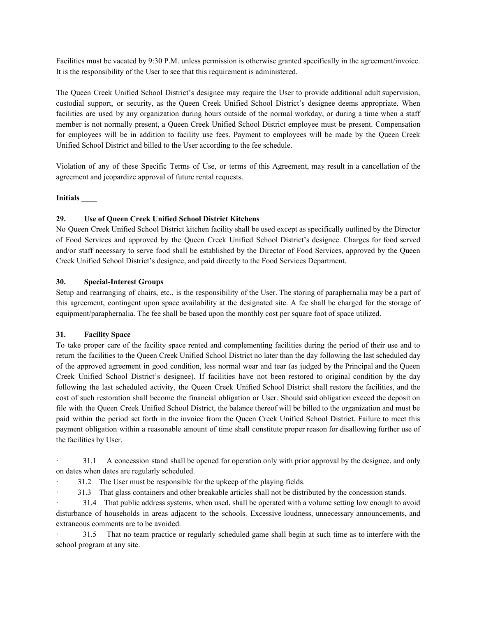Facilities must be vacated by 9:30 P.M. unless permission is otherwise granted specifically in the agreement/invoice. It is the responsibility of the User to see that this requirement is administered.

The Queen Creek Unified School District's designee may require the User to provide additional adult supervision, custodial support, or security, as the Queen Creek Unified School District's designee deems appropriate. When facilities are used by any organization during hours outside of the normal workday, or during a time when a staff member is not normally present, a Queen Creek Unified School District employee must be present. Compensation for employees will be in addition to facility use fees. Payment to employees will be made by the Queen Creek Unified School District and billed to the User according to the fee schedule.

Violation of any of these Specific Terms of Use, or terms of this Agreement, may result in a cancellation of the agreement and jeopardize approval of future rental requests.

#### **Initials \_\_\_\_**

## **29. Use of Queen Creek Unified School District Kitchens**

No Queen Creek Unified School District kitchen facility shall be used except as specifically outlined by the Director of Food Services and approved by the Queen Creek Unified School District's designee. Charges for food served and/or staff necessary to serve food shall be established by the Director of Food Services, approved by the Queen Creek Unified School District's designee, and paid directly to the Food Services Department.

#### **30. Special-Interest Groups**

Setup and rearranging of chairs, etc., is the responsibility of the User. The storing of paraphernalia may be a part of this agreement, contingent upon space availability at the designated site. A fee shall be charged for the storage of equipment/paraphernalia. The fee shall be based upon the monthly cost per square foot of space utilized.

#### **31. Facility Space**

To take proper care of the facility space rented and complementing facilities during the period of their use and to return the facilities to the Queen Creek Unified School District no later than the day following the last scheduled day of the approved agreement in good condition, less normal wear and tear (as judged by the Principal and the Queen Creek Unified School District's designee). If facilities have not been restored to original condition by the day following the last scheduled activity, the Queen Creek Unified School District shall restore the facilities, and the cost of such restoration shall become the financial obligation or User. Should said obligation exceed the deposit on file with the Queen Creek Unified School District, the balance thereof will be billed to the organization and must be paid within the period set forth in the invoice from the Queen Creek Unified School District. Failure to meet this payment obligation within a reasonable amount of time shall constitute proper reason for disallowing further use of the facilities by User.

· 31.1 A concession stand shall be opened for operation only with prior approval by the designee, and only on dates when dates are regularly scheduled.

· 31.2 The User must be responsible for the upkeep of the playing fields.

· 31.3 That glass containers and other breakable articles shall not be distributed by the concession stands.

· 31.4 That public address systems, when used, shall be operated with a volume setting low enough to avoid disturbance of households in areas adjacent to the schools. Excessive loudness, unnecessary announcements, and extraneous comments are to be avoided.

· 31.5 That no team practice or regularly scheduled game shall begin at such time as to interfere with the school program at any site.